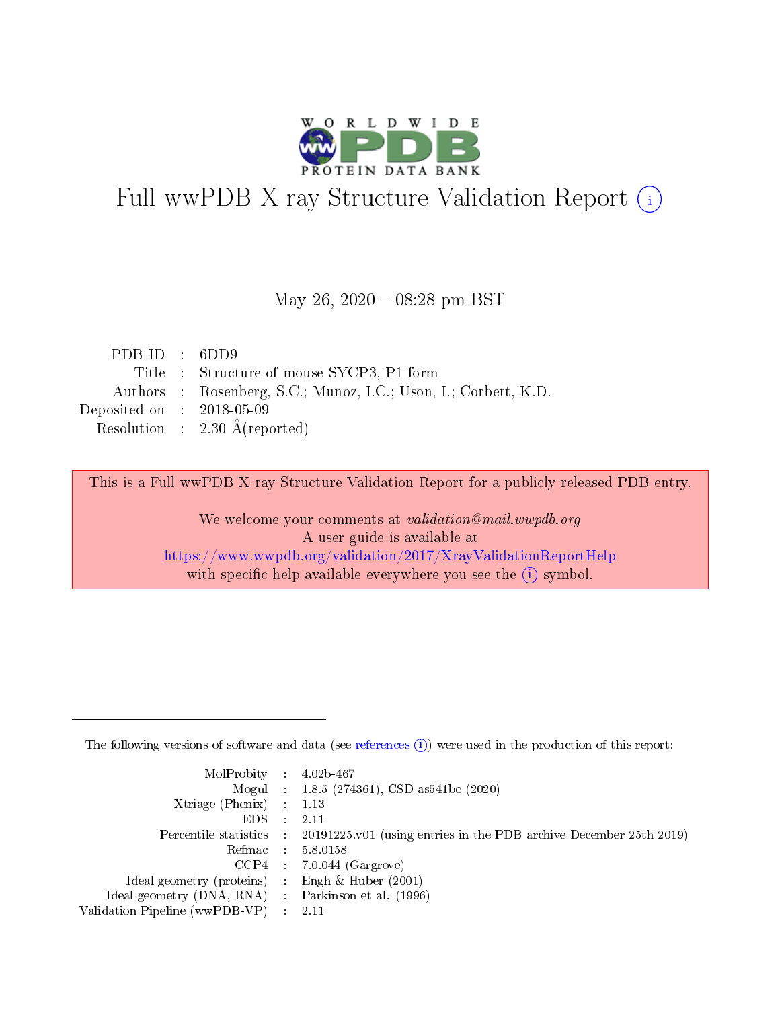

# Full wwPDB X-ray Structure Validation Report (i)

#### May 26,  $2020 - 08:28$  pm BST

| PDB ID : $6DD9$                                                 |
|-----------------------------------------------------------------|
| Title : Structure of mouse SYCP3, P1 form                       |
| Authors : Rosenberg, S.C.; Munoz, I.C.; Uson, I.; Corbett, K.D. |
| Deposited on : $2018-05-09$                                     |
| Resolution : $2.30 \text{ Å}$ (reported)                        |
|                                                                 |

This is a Full wwPDB X-ray Structure Validation Report for a publicly released PDB entry.

We welcome your comments at validation@mail.wwpdb.org A user guide is available at <https://www.wwpdb.org/validation/2017/XrayValidationReportHelp> with specific help available everywhere you see the  $(i)$  symbol.

The following versions of software and data (see [references](https://www.wwpdb.org/validation/2017/XrayValidationReportHelp#references)  $(1)$ ) were used in the production of this report:

| $MolProbability$ 4.02b-467                          |               |                                                                                            |
|-----------------------------------------------------|---------------|--------------------------------------------------------------------------------------------|
|                                                     |               | Mogul : 1.8.5 (274361), CSD as 541be (2020)                                                |
| Xtriage (Phenix) $: 1.13$                           |               |                                                                                            |
| EDS.                                                | $\mathcal{L}$ | -2.11                                                                                      |
|                                                     |               | Percentile statistics : 20191225.v01 (using entries in the PDB archive December 25th 2019) |
|                                                     |               | Refmac $5.8.0158$                                                                          |
| CCP4                                                |               | $7.0.044$ (Gargrove)                                                                       |
| Ideal geometry (proteins)                           | $\sim$        | Engh $\&$ Huber (2001)                                                                     |
| Ideal geometry (DNA, RNA) : Parkinson et al. (1996) |               |                                                                                            |
| Validation Pipeline (wwPDB-VP) : 2.11               |               |                                                                                            |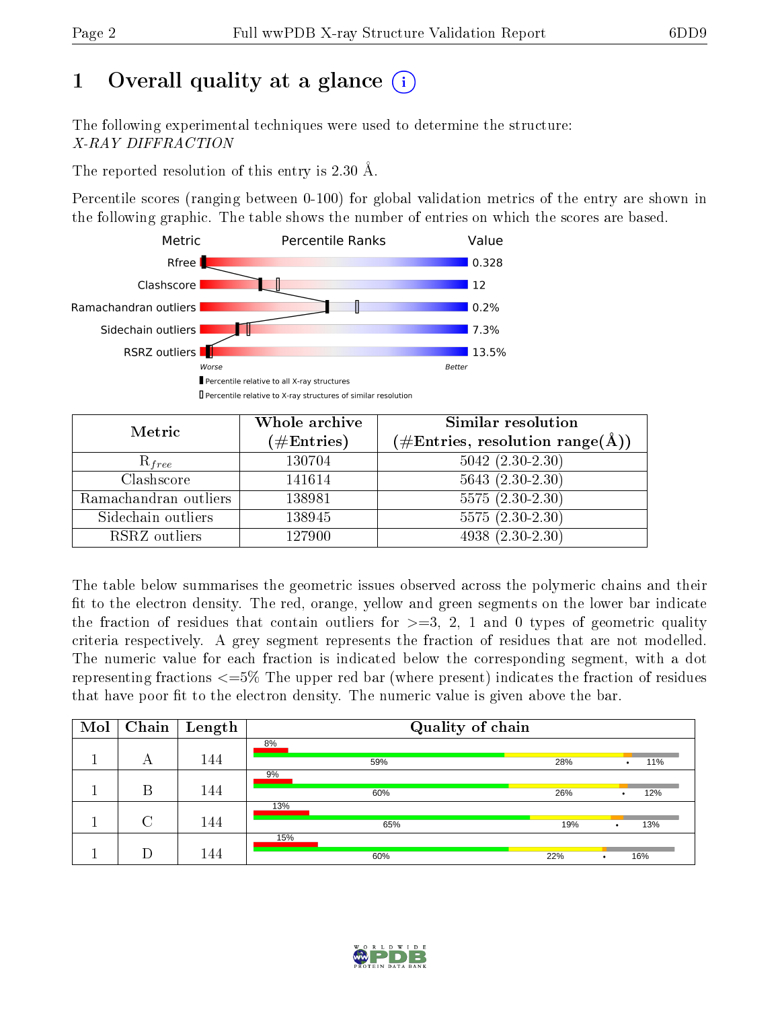# 1 [O](https://www.wwpdb.org/validation/2017/XrayValidationReportHelp#overall_quality)verall quality at a glance  $(i)$

The following experimental techniques were used to determine the structure: X-RAY DIFFRACTION

The reported resolution of this entry is 2.30 Å.

Percentile scores (ranging between 0-100) for global validation metrics of the entry are shown in the following graphic. The table shows the number of entries on which the scores are based.



| Metric                | Whole archive<br>$(\#\text{Entries})$ | Similar resolution<br>$(\#\text{Entries}, \text{resolution range}(\text{\AA})\)$ |
|-----------------------|---------------------------------------|----------------------------------------------------------------------------------|
| $R_{free}$            | 130704                                | $5042$ $(2.30-2.30)$                                                             |
| Clashscore            | 141614                                | $5643$ $(2.30-2.30)$                                                             |
| Ramachandran outliers | 138981                                | $5575(2.30-2.30)$                                                                |
| Sidechain outliers    | 138945                                | $5575(2.30-2.30)$                                                                |
| RSRZ outliers         | 127900                                | $4938(2.30-2.30)$                                                                |

The table below summarises the geometric issues observed across the polymeric chains and their fit to the electron density. The red, orange, yellow and green segments on the lower bar indicate the fraction of residues that contain outliers for  $>=3, 2, 1$  and 0 types of geometric quality criteria respectively. A grey segment represents the fraction of residues that are not modelled. The numeric value for each fraction is indicated below the corresponding segment, with a dot representing fractions  $\epsilon=5\%$  The upper red bar (where present) indicates the fraction of residues that have poor fit to the electron density. The numeric value is given above the bar.

| Mol | Chain  | $\vert$ Length | Quality of chain |                         |
|-----|--------|----------------|------------------|-------------------------|
|     |        |                | 8%               |                         |
|     | А      | 144            | 59%              | 28%<br>11%<br>٠         |
|     |        |                | 9%               |                         |
|     | Β      | 144            | 60%              | 26%<br>12%              |
|     |        |                | 13%              |                         |
|     | $\cap$ | 144            | 65%              | 13%<br>19%<br>$\bullet$ |
|     |        |                | 15%              |                         |
|     | D      | 144            | 60%              | 22%<br>16%              |

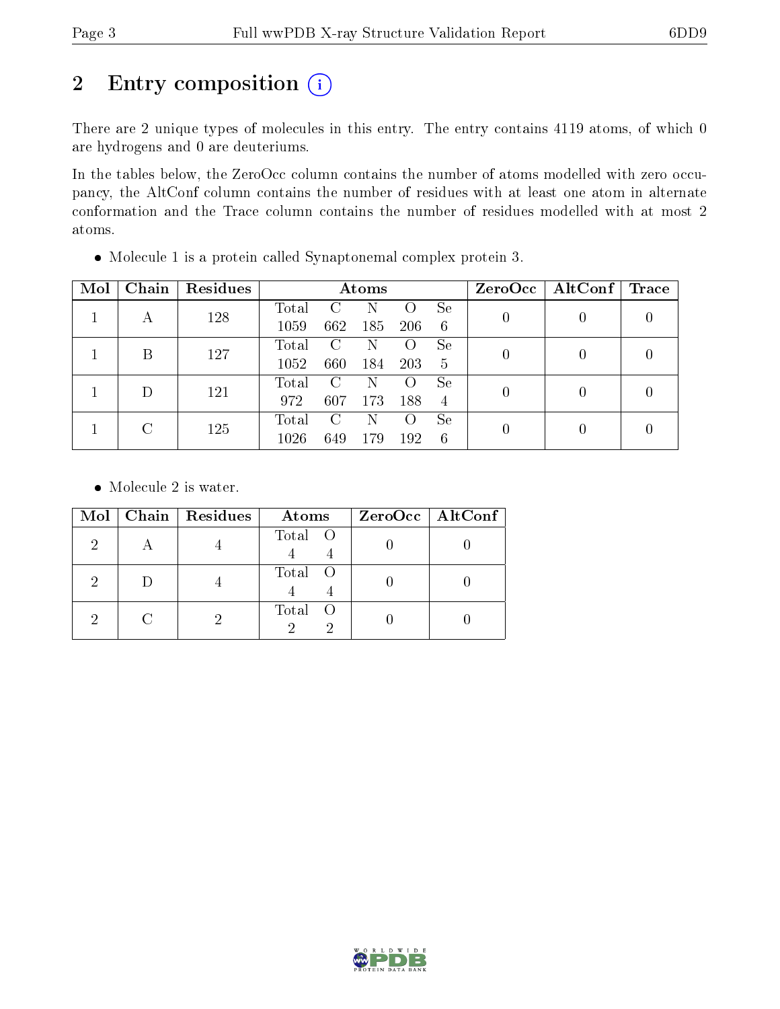# 2 Entry composition (i)

There are 2 unique types of molecules in this entry. The entry contains 4119 atoms, of which 0 are hydrogens and 0 are deuteriums.

In the tables below, the ZeroOcc column contains the number of atoms modelled with zero occupancy, the AltConf column contains the number of residues with at least one atom in alternate conformation and the Trace column contains the number of residues modelled with at most 2 atoms.

| Mol | Chain  | Residues |                |     | Atoms |                    |    |                | $ZeroOcc \mid AltConf \mid$ | $\operatorname{Trace}$ |
|-----|--------|----------|----------------|-----|-------|--------------------|----|----------------|-----------------------------|------------------------|
|     |        | 128      | Total          | C   | N     | $\left( \ \right)$ | Se | 0              |                             |                        |
|     |        |          | 1059           | 662 | 185   | 206                | 6  |                |                             |                        |
|     | В      | 127      | Total          | C   | Ν     | $\circ$            | Se | 0              |                             |                        |
|     |        |          | 1052           | 660 | 184   | 203                | 5  |                |                             |                        |
|     | $\Box$ | 121      | Total          | C   | Ν     | $\left( \right)$   | Se |                |                             |                        |
|     |        |          | 972            | 607 | 173   | 188                | 4  | 0              |                             |                        |
|     | C      |          | $\text{Total}$ | C   | Ν     | $\left( \ \right)$ | Se | $\overline{0}$ |                             |                        |
|     |        | 125      | 1026           | 649 | 179   | 192                | 6  |                |                             |                        |

Molecule 1 is a protein called Synaptonemal complex protein 3.

• Molecule 2 is water.

| Mol | Chain   Residues | Atoms   | $ZeroOcc$   AltConf |
|-----|------------------|---------|---------------------|
| 2   |                  | Total O |                     |
| റ   |                  | Total O |                     |
|     |                  | Total O |                     |

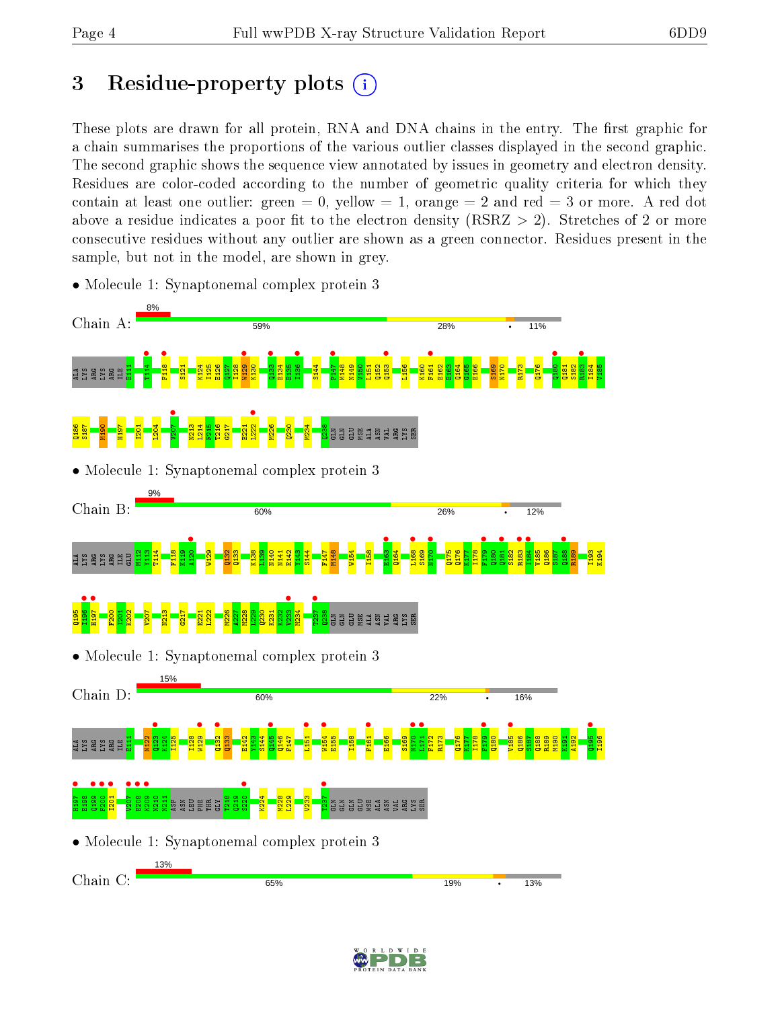# 3 Residue-property plots  $(i)$

These plots are drawn for all protein, RNA and DNA chains in the entry. The first graphic for a chain summarises the proportions of the various outlier classes displayed in the second graphic. The second graphic shows the sequence view annotated by issues in geometry and electron density. Residues are color-coded according to the number of geometric quality criteria for which they contain at least one outlier: green  $= 0$ , yellow  $= 1$ , orange  $= 2$  and red  $= 3$  or more. A red dot above a residue indicates a poor fit to the electron density (RSRZ  $> 2$ ). Stretches of 2 or more consecutive residues without any outlier are shown as a green connector. Residues present in the sample, but not in the model, are shown in grey.



• Molecule 1: Synaptonemal complex protein 3

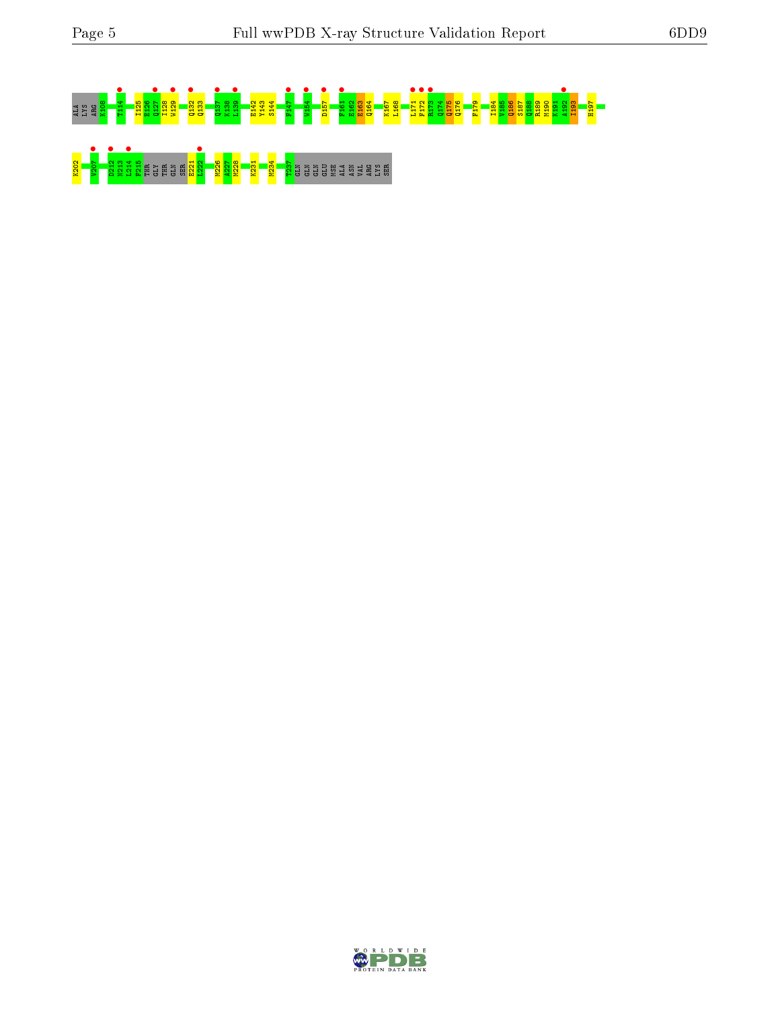

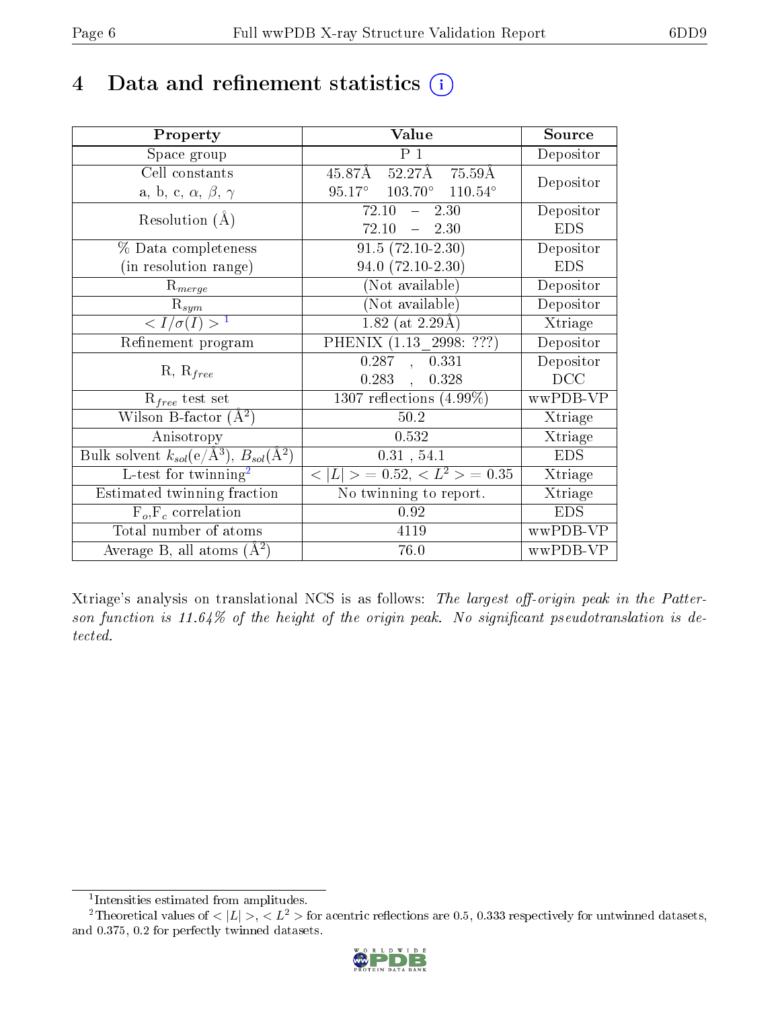# 4 Data and refinement statistics  $(i)$

| Property                                                         | Value                                             | Source     |
|------------------------------------------------------------------|---------------------------------------------------|------------|
| Space group                                                      | $\overline{P_1}$                                  | Depositor  |
| Cell constants                                                   | 45.87Å 52.27Å 75.59Å                              | Depositor  |
| a, b, c, $\alpha$ , $\beta$ , $\gamma$                           | $95.17^{\circ}$ $103.70^{\circ}$ $110.54^{\circ}$ |            |
| Resolution $(A)$                                                 | $72.10 - 2.30$                                    | Depositor  |
|                                                                  | 72.10<br>$-2.30$                                  | <b>EDS</b> |
| % Data completeness                                              | $91.5(72.10-2.30)$                                | Depositor  |
| (in resolution range)                                            | $94.0 (72.10 - 2.30)$                             | <b>EDS</b> |
| $R_{merge}$                                                      | (Not available)                                   | Depositor  |
| $\mathrm{R}_{sym}$                                               | (Not available)                                   | Depositor  |
| $\langle I/\sigma(I) \rangle^{-1}$                               | 1.82 (at $2.29\text{\AA}$ )                       | Xtriage    |
| Refinement program                                               | PHENIX (1.13 2998: ???)                           | Depositor  |
|                                                                  | 0.287, 0.331                                      | Depositor  |
| $R, R_{free}$                                                    | 0.328<br>0.283                                    | DCC        |
| $\mathcal{R}_{free}$ test set                                    | $1307$ reflections $(4.99\%)$                     | wwPDB-VP   |
| Wilson B-factor $(A^2)$                                          | 50.2                                              | Xtriage    |
| Anisotropy                                                       | 0.532                                             | Xtriage    |
| Bulk solvent $k_{sol}(\text{e}/\text{A}^3), B_{sol}(\text{A}^2)$ | 0.31, 54.1                                        | <b>EDS</b> |
| L-test for $\mathrm{twinning}^2$                                 | $< L >$ = 0.52, $< L^2 >$ = 0.35                  | Xtriage    |
| Estimated twinning fraction                                      | No twinning to report.                            | Xtriage    |
| $F_o, F_c$ correlation                                           | 0.92                                              | <b>EDS</b> |
| Total number of atoms                                            | 4119                                              | wwPDB-VP   |
| Average B, all atoms $(A^2)$                                     | 76.0                                              | wwPDB-VP   |

Xtriage's analysis on translational NCS is as follows: The largest off-origin peak in the Patterson function is 11.64% of the height of the origin peak. No significant pseudotranslation is detected.

<sup>&</sup>lt;sup>2</sup>Theoretical values of  $\langle |L| \rangle$ ,  $\langle L^2 \rangle$  for acentric reflections are 0.5, 0.333 respectively for untwinned datasets, and 0.375, 0.2 for perfectly twinned datasets.



<span id="page-5-1"></span><span id="page-5-0"></span><sup>1</sup> Intensities estimated from amplitudes.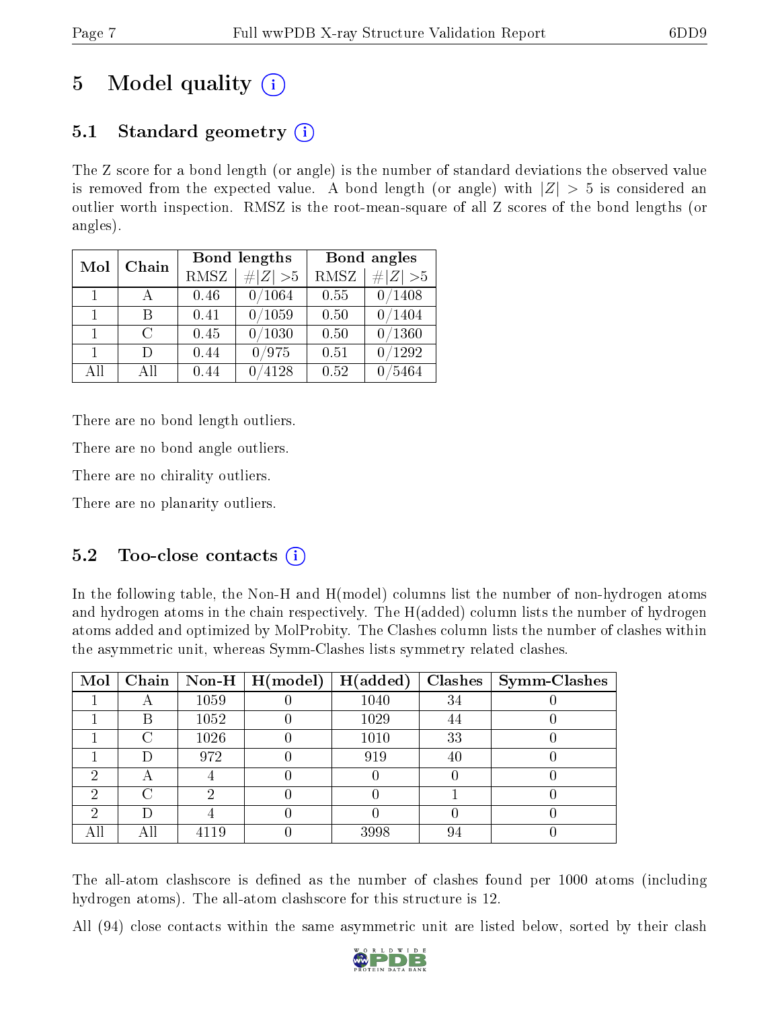# 5 Model quality  $(i)$

## 5.1 Standard geometry  $(i)$

The Z score for a bond length (or angle) is the number of standard deviations the observed value is removed from the expected value. A bond length (or angle) with  $|Z| > 5$  is considered an outlier worth inspection. RMSZ is the root-mean-square of all Z scores of the bond lengths (or angles).

| Mol          | Chain  |      | Bond lengths | Bond angles |             |
|--------------|--------|------|--------------|-------------|-------------|
|              |        | RMSZ | $\# Z  > 5$  | <b>RMSZ</b> | $\ Z\  > 5$ |
| $\Box$       |        | 0.46 | 0/1064       | 0.55        | 0/1408      |
| $\mathbf{1}$ | R      | 0.41 | 0/1059       | 0.50        | 0/1404      |
| $\mathbf{1}$ | $\cap$ | 0.45 | 0/1030       | 0.50        | 0/1360      |
| $\mathbf{1}$ | $\Box$ | 0.44 | 0/975        | 0.51        | /1292       |
| All          | A 11   | 0.44 | 4128         | 0.52        | 5464        |

There are no bond length outliers.

There are no bond angle outliers.

There are no chirality outliers.

There are no planarity outliers.

### 5.2 Too-close contacts  $\overline{a}$

In the following table, the Non-H and H(model) columns list the number of non-hydrogen atoms and hydrogen atoms in the chain respectively. The H(added) column lists the number of hydrogen atoms added and optimized by MolProbity. The Clashes column lists the number of clashes within the asymmetric unit, whereas Symm-Clashes lists symmetry related clashes.

| Mol |     |      | $\boxed{\text{Chain}}$ Non-H $\boxed{\text{H(model)}}$ | H(added) |    | $Clashes$   Symm-Clashes |
|-----|-----|------|--------------------------------------------------------|----------|----|--------------------------|
|     |     | 1059 |                                                        | 1040     | 34 |                          |
|     | Β   | 1052 |                                                        | 1029     | 44 |                          |
|     | C   | 1026 |                                                        | 1010     | 33 |                          |
|     | Ð   | 972  |                                                        | 919      | 40 |                          |
| 6)  | Α   |      |                                                        |          |    |                          |
| ച   |     |      |                                                        |          |    |                          |
| ച   |     |      |                                                        |          |    |                          |
|     | Αll | 4119 |                                                        | 3998     | 94 |                          |

The all-atom clashscore is defined as the number of clashes found per 1000 atoms (including hydrogen atoms). The all-atom clashscore for this structure is 12.

All (94) close contacts within the same asymmetric unit are listed below, sorted by their clash

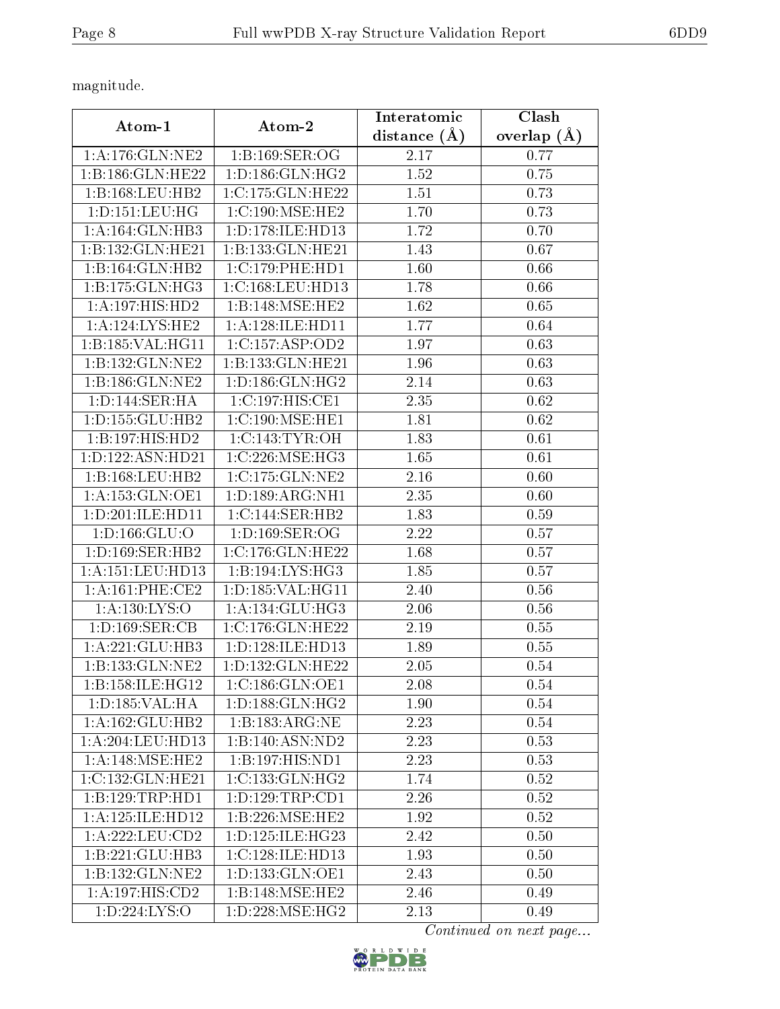magnitude.

|                      |                                  | Interatomic       | Clash           |
|----------------------|----------------------------------|-------------------|-----------------|
| Atom-1               | Atom-2                           | distance $(A)$    | overlap $(\AA)$ |
| 1: A:176: GLN: NE2   | 1:B:169:SER:OG                   | 2.17              | 0.77            |
| 1:B:186:GLN:HE22     | 1: D: 186: GLN: HG2              | 1.52              | 0.75            |
| 1:B:168:LEU:HB2      | 1:C:175:GLN:HE22                 | 1.51              | 0.73            |
| 1: D: 151: LEU: HG   | 1:C:190:MSE:HE2                  | 1.70              | 0.73            |
| 1: A:164: GLN:HB3    | 1:D:178:ILE:HD13                 | 1.72              | 0.70            |
| 1:B:132:GLN:HE21     | 1:B:133:GLN:HE21                 | 1.43              | 0.67            |
| 1:B:164:GLN:HB2      | 1:C:179:PHE:HD1                  | 1.60              | 0.66            |
| 1:B:175:GLN:HG3      | 1:C:168:LEU:HD13                 | 1.78              | 0.66            |
| 1:A:197:HIS:HD2      | 1:B:148:MSE:HE2                  | 1.62              | 0.65            |
| 1:A:124:LYS:HE2      | 1:A:128:ILE:HD11                 | 1.77              | 0.64            |
| 1:B:185:VAL:HG11     | 1:C:157:ASP:OD2                  | 1.97              | 0.63            |
| 1:B:132:GLN:NE2      | 1:B:133:GLN:HE21                 | 1.96              | 0.63            |
| 1:B:186:GLN:NE2      | 1: D: 186: GLN: HG2              | 2.14              | 0.63            |
| 1:D:144:SER:HA       | 1:C:197:HIS:CE1                  | 2.35              | 0.62            |
| 1: D: 155: GLU: HB2  | 1:C:190:MSE:HE1                  | 1.81              | 0.62            |
| 1:B:197:HIS:HD2      | 1: C: 143: TYR: OH               | 1.83              | 0.61            |
| 1: D: 122: ASN: HD21 | 1:C:226:MSE:HG3                  | 1.65              | 0.61            |
| 1:B:168:LEU:HB2      | 1:C:175:GLN:NE2                  | 2.16              | 0.60            |
| 1: A: 153: GLN: OE1  | 1:D:189:ARG:NH1                  | 2.35              | 0.60            |
| 1:D:201:ILE:HD11     | 1:C:144:SER:HB2                  | 1.83              | 0.59            |
| 1: D: 166: GLU: O    | 1: D: 169: SER: OG               | 2.22              | 0.57            |
| 1: D: 169: SER: HB2  | 1:C:176:GLN:HE22                 | 1.68              | 0.57            |
| 1: A: 151: LEU: HD13 | 1:B:194:LYS:HG3                  | 1.85              | 0.57            |
| 1:A:161:PHE:CE2      | 1:D:185:VAL:HG11                 | 2.40              | 0.56            |
| 1: A: 130: LYS: O    | 1: A:134: GLU:HG3                | 2.06              | 0.56            |
| 1: D: 169: SER: CB   | 1:C:176:GLN:HE22                 | 2.19              | 0.55            |
| 1: A:221: GLU:HB3    | 1: D: 128: ILE: HD13             | 1.89              | 0.55            |
| 1:B:133:GLN:NE2      | 1:D:132:GLN:HE22                 | 2.05              | 0.54            |
| 1: B: 158: ILE: HG12 | 1:C:186:GLN:OE1                  | 2.08              | 0.54            |
| 1: D: 185: VAL: HA   | 1:D:188:GLN:HG2                  | 1.90              | 0.54            |
| 1: A: 162: GLU: HB2  | 1:B:183:ARG:NE                   | 2.23              | 0.54            |
| 1:A:204:LEU:HD13     | 1:B:140:ASN:ND2                  | 2.23              | 0.53            |
| 1:A:148:MSE:HE2      | 1:B:197:HIS:ND1                  | 2.23              | 0.53            |
| 1:C:132:GLN:HE21     | 1:C:133:GLN:HG2                  | 1.74              | 0.52            |
| 1:B:129:TRP:HDI      | 1: D: 129: TRP: CD1              | 2.26              | 0.52            |
| 1: A: 125: ILE: HD12 | 1:B:226:MSE:HE2                  | 1.92              | 0.52            |
| 1: A: 222: LEU: CD2  | 1: D: 125: ILE: HG23             | 2.42              | 0.50            |
| 1:B:221:GLU:HB3      | 1:C:128:ILE:HD13                 | 1.93              | 0.50            |
| 1:B:132:GLN:NE2      | 1:D:133:GLN:OE1                  | $2.\overline{43}$ | 0.50            |
| 1: A: 197: HIS: CD2  | 1:B:148:MSE:HE2                  | 2.46              | 0.49            |
| 1:D:224:LYS:O        | $1: D: 228: MSE: H\overline{G2}$ | 2.13              | 0.49            |

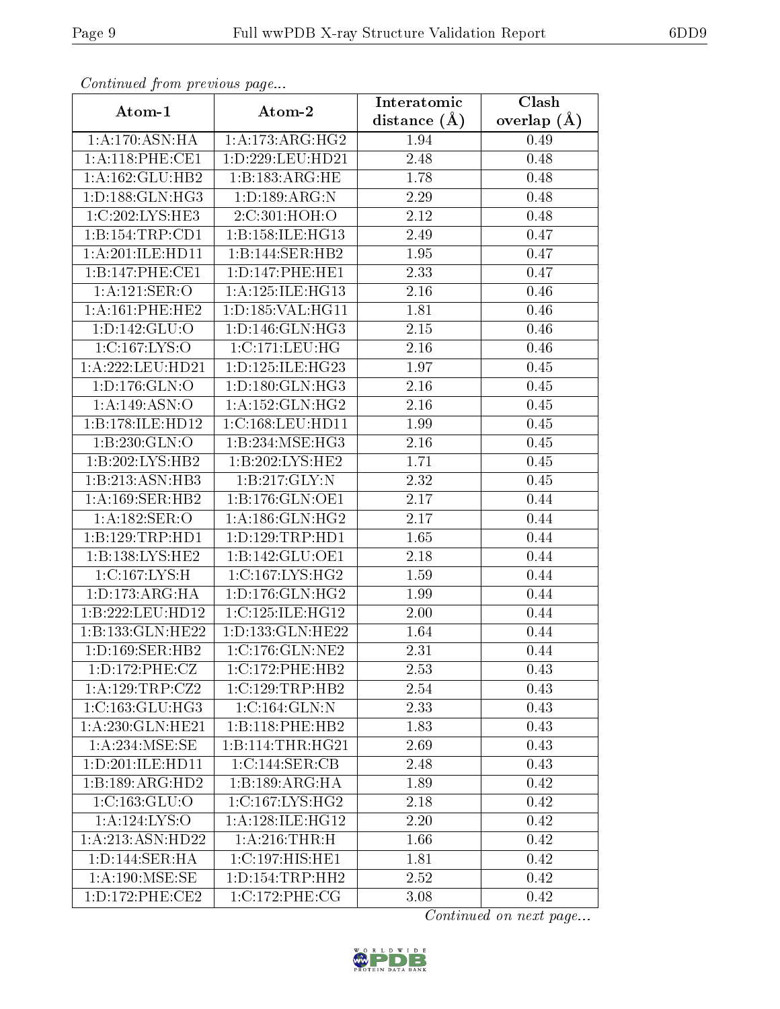| Continuati prom precious page |                                     | Interatomic    | Clash           |
|-------------------------------|-------------------------------------|----------------|-----------------|
| Atom-1                        | Atom-2                              | distance $(A)$ | overlap $(\AA)$ |
| 1:A:170:ASN:HA                | 1:A:173:ARG:HG2                     | 1.94           | 0.49            |
| 1: A:118: PHE:CE1             | 1: D: 229: LEU: HD21                | 2.48           | 0.48            |
| 1: A: 162: GLU: HB2           | 1:B:183:ARG:HE                      | 1.78           | 0.48            |
| 1: D: 188: GLN: HG3           | 1: D: 189: ARG: N                   | 2.29           | 0.48            |
| 1:C:202:LYS:HE3               | 2:C:301:HOH:O                       | 2.12           | 0.48            |
| 1:B:154:TRP:CD1               | 1: B:158: ILE: HG13                 | 2.49           | 0.47            |
| 1: A:201: ILE: HDI1           | 1:B:144:SER:HB2                     | 1.95           | 0.47            |
| 1:B:147:PHE:CE1               | 1: D: 147: PHE: HE1                 | 2.33           | 0.47            |
| 1: A: 121: SER: O             | 1: A: 125: ILE: HG13                | 2.16           | 0.46            |
| 1: A:161:PHE:HE2              | 1: D: 185: VAL: HG11                | 1.81           | 0.46            |
| 1: D: 142: GLU: O             | 1: D: 146: GLN: HG3                 | 2.15           | 0.46            |
| 1:C:167:LYS:O                 | 1:C:171:LEU:HG                      | 2.16           | 0.46            |
| 1:A:222:LEU:HD21              | 1: D: 125: ILE: HG23                | 1.97           | 0.45            |
| 1: D: 176: GLN: O             | 1: D: 180: GLN: HG3                 | 2.16           | 0.45            |
| 1:A:149:ASN:O                 | 1: A: 152: GLN: HG2                 | 2.16           | 0.45            |
| 1:B:178:ILE:HD12              | 1:C:168:LEU:HD11                    | 1.99           | 0.45            |
| 1:B:230:GLN:O                 | 1:B:234:MSE:HG3                     | 2.16           | 0.45            |
| 1:B:202:LYS:HB2               | 1:B:202:LYS:HE2                     | 1.71           | 0.45            |
| 1:B:213:ASN:HB3               | 1:B:217:GLY:N                       | 2.32           | 0.45            |
| 1:A:169:SER:HB2               | 1:B:176:GLN:OE1                     | 2.17           | 0.44            |
| 1:A:182:SER:O                 | 1: A: 186: GLN: HG2                 | 2.17           | 0.44            |
| 1:B:129:TRP:HD1               | 1:D:129:TRP:HD1                     | 1.65           | 0.44            |
| 1:B:138:LYS:HE2               | 1:B:142:GLU:OE1                     | 2.18           | 0.44            |
| 1:C:167:LYS:H                 | 1:C:167:LYS:HG2                     | 1.59           | 0.44            |
| 1: D: 173: ARG: HA            | 1: D: 176: GLN: HG2                 | 1.99           | 0.44            |
| 1:B:222:LEU:HD12              | 1:C:125:ILE:HG12                    | 2.00           | 0.44            |
| 1:B:133:GLN:HE22              | 1:D:133:GLN:HE22                    | 1.64           | 0.44            |
| 1: D: 169: SER: HB2           | $1:C:176:GLN:\overline{\text{NE2}}$ | 2.31           | 0.44            |
| 1:D:172:PHE:CZ                | 1:C:172:PHE:HB2                     | 2.53           | 0.43            |
| 1:A:129:TRP:CZ2               | 1:C:129:TRP:HB2                     | 2.54           | 0.43            |
| 1:C:163:GLU:HG3               | 1:C:164:GLN:N                       | 2.33           | 0.43            |
| 1:A:230:GLN:HE21              | 1:B:118:PHE:HB2                     | 1.83           | 0.43            |
| 1: A:234: MSE:SE              | 1:B:114:THR:HG21                    | 2.69           | 0.43            |
| 1:D:201:ILE:HD11              | 1:C:144:SER:CB                      | 2.48           | 0.43            |
| 1:B:189:ARG:HD2               | 1:B:189:ARG:HA                      | 1.89           | 0.42            |
| 1: C: 163: GLU:O              | 1:C:167:LYS:HG2                     | 2.18           | 0.42            |
| 1:A:124:LYS:O                 | 1: A:128: ILE: HG12                 | 2.20           | 0.42            |
| 1:A:213:ASN:HD22              | 1:A:216:THR:H                       | 1.66           | 0.42            |
| 1: D: 144: SER: HA            | 1:C:197:HIS:HE1                     | 1.81           | 0.42            |
| 1:A:190:MSE:SE                | 1: D: 154: TRP: HH2                 | 2.52           | 0.42            |
| 1: D: 172: PHE: CE2           | 1:C:172:PHE:CG                      | 3.08           | 0.42            |

Continued from previous page.

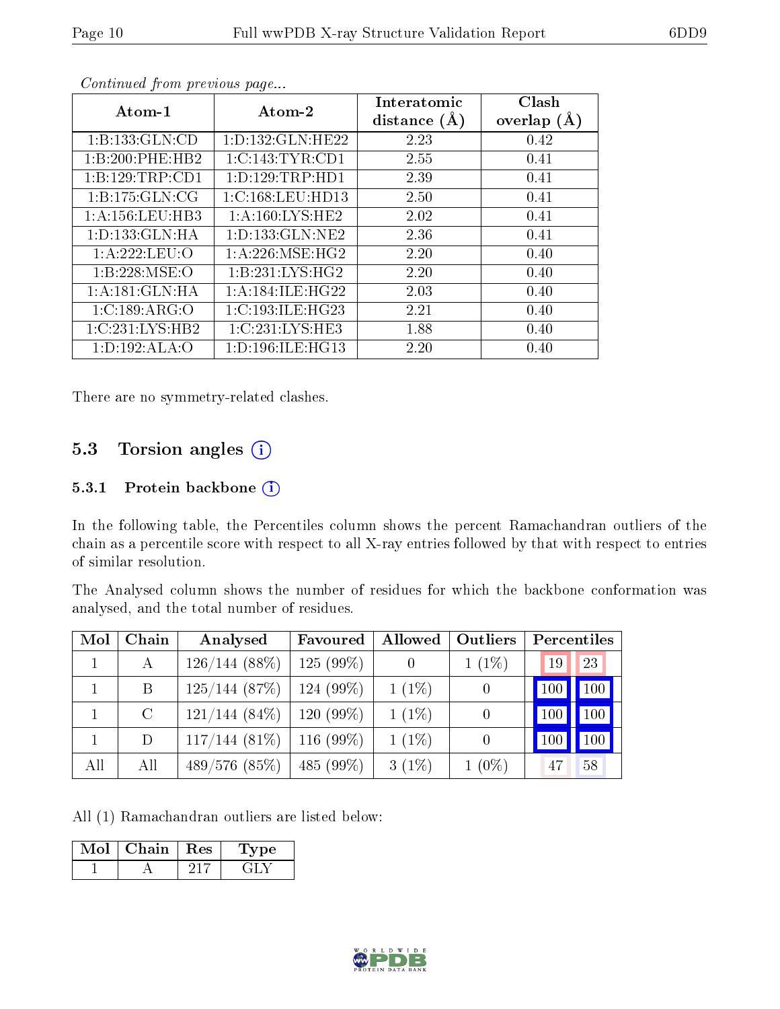| Atom-1             | $\boldsymbol{\mathrm{Atom}\text{-}2}$ | Interatomic<br>distance $(A)$ | Clash<br>overlap $(A)$ |
|--------------------|---------------------------------------|-------------------------------|------------------------|
| 1:B:133:GLN:CD     | 1: D: 132: GLN: HE22                  | 2.23                          | 0.42                   |
| 1:B:200:PHE:HB2    | 1:C:143:TYR:CD1                       | 2.55                          | 0.41                   |
| 1:B:129:TRP:CD1    | 1:D:129:TRP:HD1                       | 2.39                          | 0.41                   |
| 1:B:175:GLN:CG     | 1:C:168:LEU:HD13                      | 2.50                          | 0.41                   |
| 1:A:156:LEU:HB3    | 1: A: 160: LYS: HE2                   | 2.02                          | 0.41                   |
| 1: D: 133: GLN: HA | 1: D: 133: GLN: NE2                   | 2.36                          | 0.41                   |
| 1: A:222:LEU:O     | 1: A:226: MSE:HG2                     | 2.20                          | 0.40                   |
| 1: B: 228: MSE:O   | 1:B:231:LYS:HG2                       | 2.20                          | 0.40                   |
| 1:A:181:GLN:HA     | 1: A: 184: ILE: HG22                  | 2.03                          | 0.40                   |
| 1:C:189:ARG:O      | 1:C:193:ILE:HG23                      | 2.21                          | 0.40                   |
| 1:C:231:LYS:HB2    | 1:C:231:LYS:HE3                       | 1.88                          | 0.40                   |
| 1: D: 192: ALA: O  | 1: D: 196: ILE: HG13                  | 2.20                          | 0.40                   |

Continued from previous page...

There are no symmetry-related clashes.

#### 5.3 Torsion angles (i)

#### 5.3.1 Protein backbone (i)

In the following table, the Percentiles column shows the percent Ramachandran outliers of the chain as a percentile score with respect to all X-ray entries followed by that with respect to entries of similar resolution.

The Analysed column shows the number of residues for which the backbone conformation was analysed, and the total number of residues.

| Mol | Chain   | Analysed        | Favoured    | Allowed  | Outliers         | Percentiles   |             |
|-----|---------|-----------------|-------------|----------|------------------|---------------|-------------|
|     | А       | $126/144(88\%)$ | $125(99\%)$ |          | $1(1\%)$         | 19            | 23          |
|     | B       | 125/144(87%)    | $124(99\%)$ | $1(1\%)$ | $\theta$         | $ 100\rangle$ | $\vert$ 100 |
|     | $\rm C$ | $121/144(84\%)$ | $120(99\%)$ | $1(1\%)$ | $\left( \right)$ | <b>100</b>    | 100         |
|     | D       | $117/144(81\%)$ | $116(99\%)$ | $1(1\%)$ | $\theta$         | 100           | $100 \mid$  |
| All | All     | 489/576(85%)    | 485 (99%)   | $3(1\%)$ | $1(0\%)$         | 47            | 58          |

All (1) Ramachandran outliers are listed below:

| Mol | Chain | ${\rm Res}$ | vpe |
|-----|-------|-------------|-----|
|     |       |             |     |

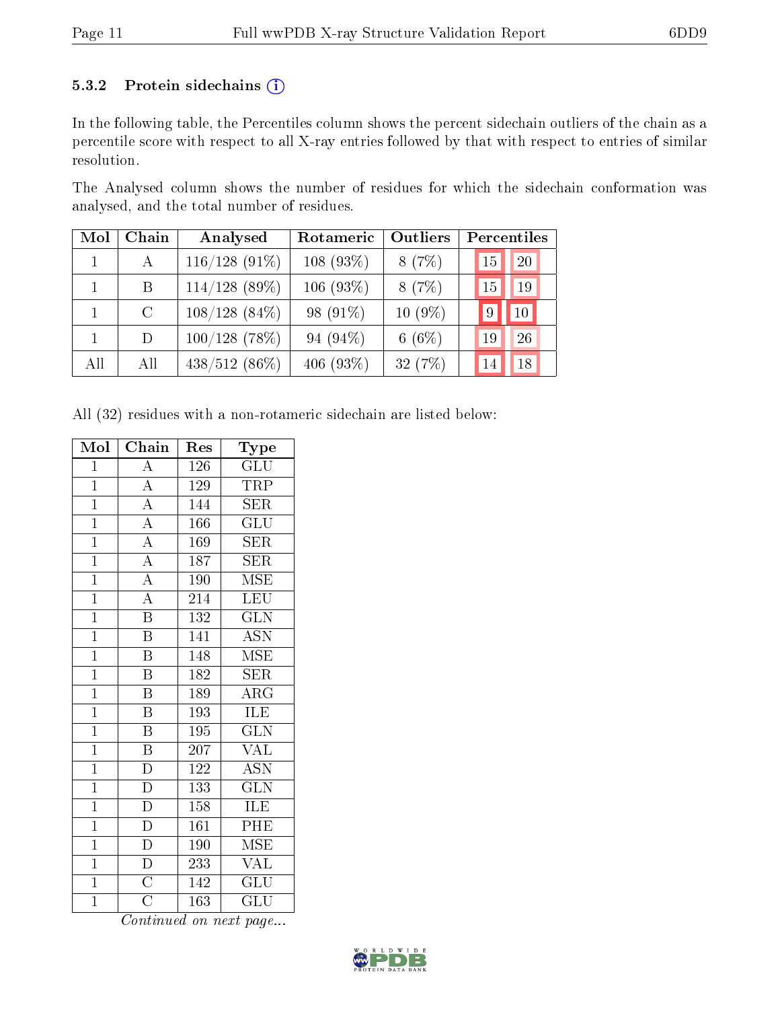#### 5.3.2 Protein sidechains (i)

In the following table, the Percentiles column shows the percent sidechain outliers of the chain as a percentile score with respect to all X-ray entries followed by that with respect to entries of similar resolution.

The Analysed column shows the number of residues for which the sidechain conformation was analysed, and the total number of residues.

| Mol | Chain   | Analysed        | Rotameric    | Outliers  | Percentiles |
|-----|---------|-----------------|--------------|-----------|-------------|
|     | A       | $116/128$ (91%) | $108(93\%)$  | 8(7%)     | 20<br>15    |
|     | B       | $114/128$ (89%) | $106(93\%)$  | 8(7%)     | 19<br>15    |
|     | $\rm C$ | $108/128(84\%)$ | 98 (91\%)    | $10(9\%)$ | 10<br>9     |
|     | D       | $100/128$ (78%) | 94 $(94\%)$  | 6 $(6%)$  | 26<br>19    |
| All | All     | $438/512(86\%)$ | 406 $(93\%)$ | 32(7%)    | 18<br>14    |

All (32) residues with a non-rotameric sidechain are listed below:

| Mol            | Chain                   | $\operatorname{Res}% \left( \mathcal{N}\right) \equiv\operatorname{Res}(\mathcal{N}_{0})\cap\mathcal{N}_{1}$ | Type                    |
|----------------|-------------------------|--------------------------------------------------------------------------------------------------------------|-------------------------|
| $\overline{1}$ | $\boldsymbol{A}$        | 126                                                                                                          | GLU                     |
| $\overline{1}$ | $\overline{\rm A}$      | 129                                                                                                          | <b>TRP</b>              |
| $\overline{1}$ | $\overline{\rm A}$      | 144                                                                                                          | <b>SER</b>              |
| $\overline{1}$ | $\overline{A}$          | 166                                                                                                          | $\overline{\text{GLU}}$ |
| $\overline{1}$ | $\overline{\rm A}$      | 169                                                                                                          | $\overline{\text{SER}}$ |
| $\overline{1}$ | $\overline{\rm A}$      | 187                                                                                                          | <b>SER</b>              |
| $\overline{1}$ | $\overline{\rm A}$      | 190                                                                                                          | $\overline{\rm MSE}$    |
| $\overline{1}$ | $\overline{A}$          | 214                                                                                                          | LEU                     |
| $\overline{1}$ | $\overline{\mathrm{B}}$ | 132                                                                                                          | <b>GLN</b>              |
| $\overline{1}$ | $\overline{\mathrm{B}}$ | 141                                                                                                          | <b>ASN</b>              |
| $\overline{1}$ | $\overline{\mathrm{B}}$ | 148                                                                                                          | <b>MSE</b>              |
| $\overline{1}$ | $\overline{\mathrm{B}}$ | 182                                                                                                          | <b>SER</b>              |
| $\mathbf{1}$   | $\boldsymbol{B}$        | 189                                                                                                          | $\rm{ARG}$              |
| $\overline{1}$ | $\overline{\mathrm{B}}$ | 193                                                                                                          | ILE                     |
| $\overline{1}$ | $\overline{\mathbf{B}}$ | $\overline{195}$                                                                                             | GLN                     |
| $\mathbf{1}$   | $\, {\bf B}$            | 207                                                                                                          | $\rm V\overline{AL}$    |
| $\overline{1}$ | $\overline{D}$          | 122                                                                                                          | $\overline{\text{ASN}}$ |
| $\mathbf{1}$   | ${\rm D}$               | 133                                                                                                          | <b>GLN</b>              |
| $\overline{1}$ | $\overline{D}$          | 158                                                                                                          | ILE                     |
| $\overline{1}$ | $\overline{D}$          | 161                                                                                                          | PHE                     |
| $\mathbf{1}$   | $\overline{\rm D}$      | 190                                                                                                          | MSE                     |
| $\overline{1}$ | $\overline{D}$          | 233                                                                                                          | <b>VAL</b>              |
| $\overline{1}$ | $\overline{\text{C}}$   | 142                                                                                                          | $GL\overline{U}$        |
| $\overline{1}$ | $\overline{\text{C}}$   | 163                                                                                                          | GLU                     |

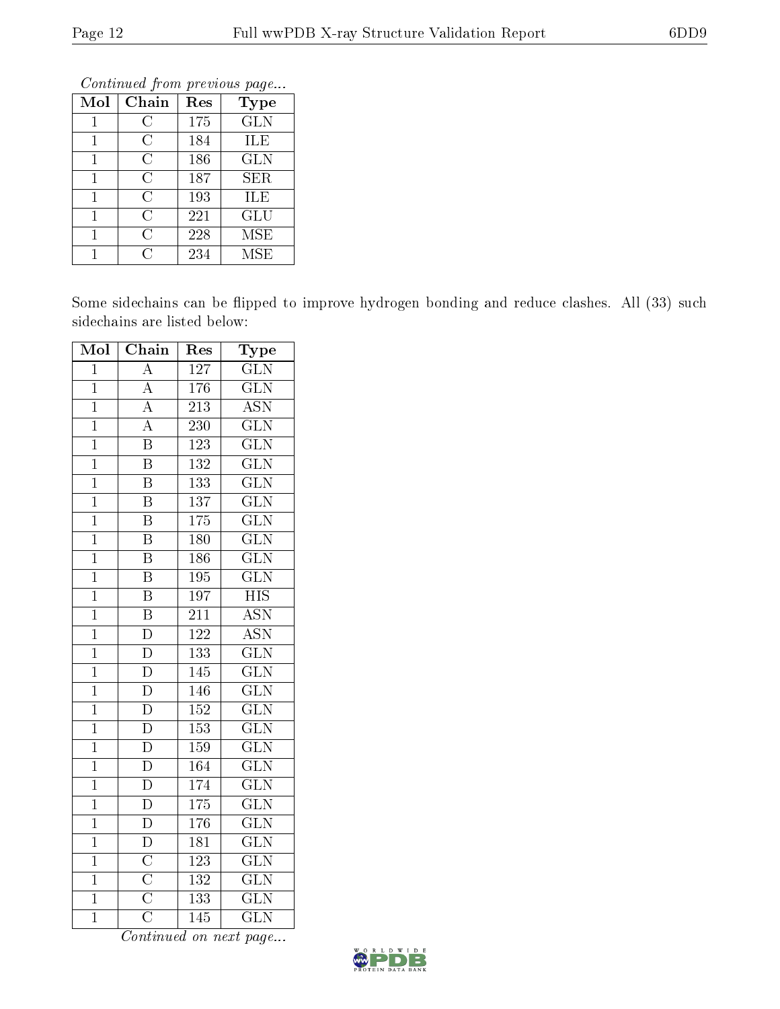|              | оонынаса јют ртоново раде |     |             |  |  |  |  |
|--------------|---------------------------|-----|-------------|--|--|--|--|
| Mol          | Chain                     | Res | <b>Type</b> |  |  |  |  |
| 1            | С                         | 175 | <b>GLN</b>  |  |  |  |  |
| 1            | C                         | 184 | ILE         |  |  |  |  |
| $\mathbf{1}$ | $\overline{C}$            | 186 | <b>GLN</b>  |  |  |  |  |
| $\mathbf{1}$ | C                         | 187 | <b>SER</b>  |  |  |  |  |
| 1            | C                         | 193 | ILE         |  |  |  |  |
| 1            | C                         | 221 | GLU         |  |  |  |  |
| 1            | C                         | 228 | <b>MSE</b>  |  |  |  |  |
| 1            | C                         | 234 | <b>MSE</b>  |  |  |  |  |

Continued from previous page.

Some sidechains can be flipped to improve hydrogen bonding and reduce clashes. All (33) such sidechains are listed below:

| Mol            | Chain                               | Res              | Type                      |
|----------------|-------------------------------------|------------------|---------------------------|
| $\overline{1}$ | $\overline{\rm A}$                  | 127              | $\overline{\text{GLN}}$   |
| $\mathbf{1}$   | $\overline{A}$                      | 176              | <b>GLN</b>                |
| $\overline{1}$ | $\overline{A}$                      | $\overline{213}$ | $\overline{\mathrm{ASN}}$ |
| $\overline{1}$ | $\overline{A}$                      | 230              | $\overline{\text{GLN}}$   |
| $\overline{1}$ | $\overline{\mathrm{B}}$             | 123              | $\overline{\text{GLN}}$   |
| $\overline{1}$ | $\overline{\mathrm{B}}$             | $\overline{132}$ | $\overline{\text{GLN}}$   |
| $\overline{1}$ | $\overline{\mathrm{B}}$             | 133              | $\overline{\text{GLN}}$   |
| $\mathbf{1}$   | $\overline{\mathrm{B}}$             | $\overline{137}$ | $\overline{\text{GLN}}$   |
| $\overline{1}$ | $\overline{\mathrm{B}}$             | 175              | $\overline{\text{GLN}}$   |
| $\overline{1}$ | $\overline{\mathrm{B}}$             | 180              | $\overline{\text{GLN}}$   |
| $\overline{1}$ | $\overline{\mathrm{B}}$             | 186              | $\overline{\text{GLN}}$   |
| $\overline{1}$ | $\overline{\mathrm{B}}$             | 195              | $\overline{\text{GLN}}$   |
| $\overline{1}$ | $\overline{\mathrm{B}}$             | 197              | $\overline{\mathrm{HIS}}$ |
| $\overline{1}$ | $\overline{\mathbf{B}}$             | 211              | <b>ASN</b>                |
| $\overline{1}$ | $\overline{\rm D}$                  | 122              | $\overline{\text{ASN}}$   |
| $\overline{1}$ | $\overline{\rm D}$                  | 133              | $\overline{\text{GLN}}$   |
| $\mathbf{1}$   | $\overline{D}$                      | 145              | <b>GLN</b>                |
| $\overline{1}$ | $\overline{\rm D}$                  | 146              | $\overline{\text{GLN}}$   |
| $\overline{1}$ | $\overline{\rm D}$                  | 152              | $\overline{\text{GLN}}$   |
| $\mathbf{1}$   | $\overline{D}$                      | 153              | $\overline{\text{GLN}}$   |
| $\overline{1}$ | $\overline{\rm D}$                  | 159              | $\overline{\text{GLN}}$   |
| $\overline{1}$ | $\overline{D}$                      | 164              | $\overline{\text{GLN}}$   |
| $\overline{1}$ | $\overline{D}$                      | 174              | $\overline{\text{GLN}}$   |
| $\overline{1}$ | $\overline{\rm D}$                  | 175              | $\overline{\text{GLN}}$   |
| $\overline{1}$ | $\overline{D}$                      | 176              | $\overline{\text{GLN}}$   |
| $\overline{1}$ | $\overline{D}$                      | $\overline{181}$ | $\overline{\text{GLN}}$   |
| $\overline{1}$ | $\overline{C}$                      | 123              | $\overline{\text{GLN}}$   |
| $\overline{1}$ | $\frac{\overline{C}}{\overline{C}}$ | 132              | $\overline{\text{GLN}}$   |
| $\overline{1}$ |                                     | 133              | $\rm G\overline{LN}$      |
| $\overline{1}$ | $\overline{\overline{\rm C}}$       | $\overline{145}$ | $\overline{\text{GLN}}$   |

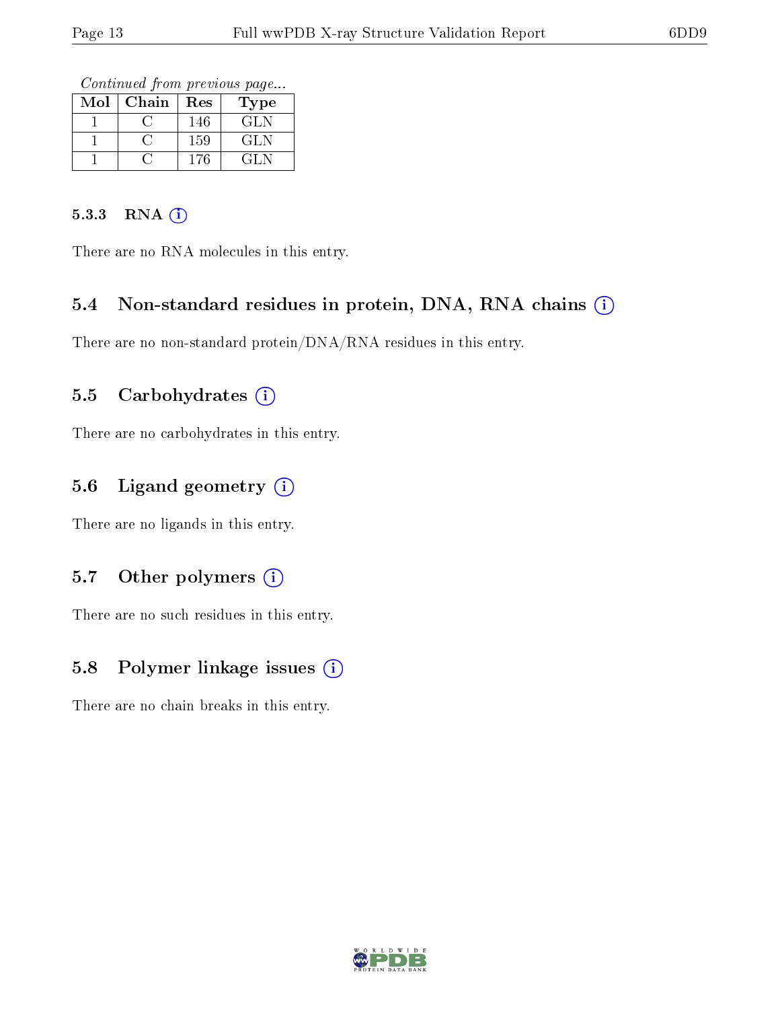Continued from previous page...

| $\operatorname{Mol}$ | Chain | Res | Type   |
|----------------------|-------|-----|--------|
|                      |       | 146 | GL N   |
|                      |       | 159 | GL N   |
|                      |       | 176 | (21. N |

#### 5.3.3 RNA (i)

There are no RNA molecules in this entry.

#### 5.4 Non-standard residues in protein, DNA, RNA chains (i)

There are no non-standard protein/DNA/RNA residues in this entry.

#### 5.5 Carbohydrates (i)

There are no carbohydrates in this entry.

### 5.6 Ligand geometry (i)

There are no ligands in this entry.

#### 5.7 [O](https://www.wwpdb.org/validation/2017/XrayValidationReportHelp#nonstandard_residues_and_ligands)ther polymers (i)

There are no such residues in this entry.

### 5.8 Polymer linkage issues (i)

There are no chain breaks in this entry.

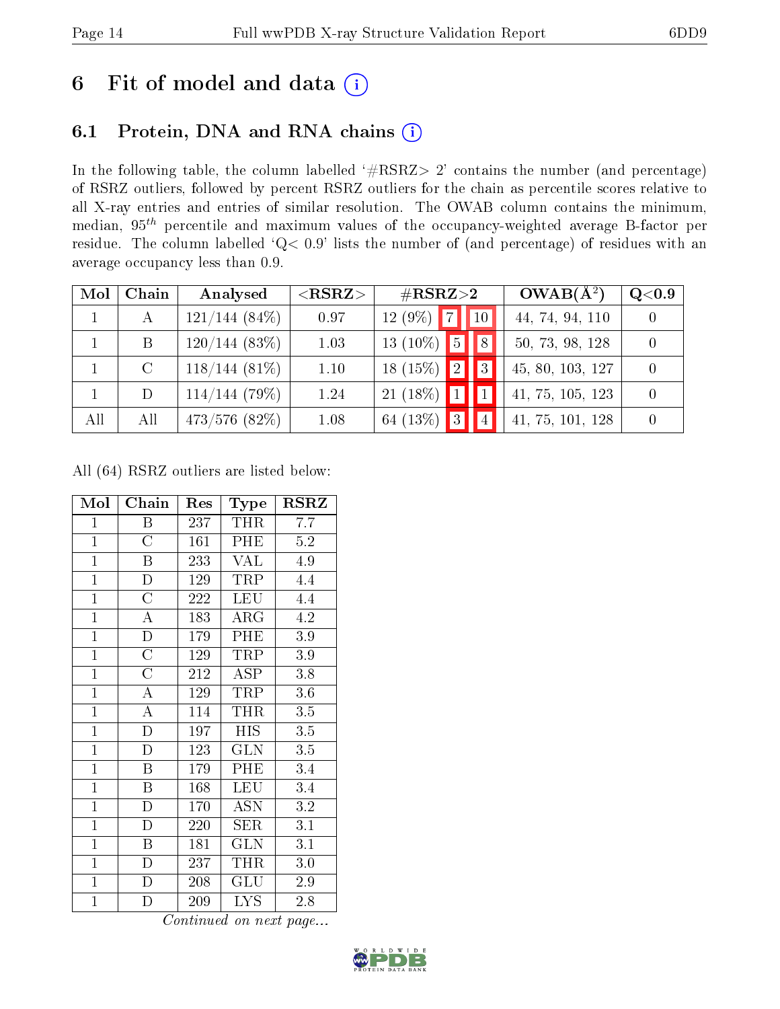# 6 Fit of model and data  $(i)$

## 6.1 Protein, DNA and RNA chains  $(i)$

In the following table, the column labelled  $#RSRZ> 2'$  contains the number (and percentage) of RSRZ outliers, followed by percent RSRZ outliers for the chain as percentile scores relative to all X-ray entries and entries of similar resolution. The OWAB column contains the minimum, median,  $95<sup>th</sup>$  percentile and maximum values of the occupancy-weighted average B-factor per residue. The column labelled ' $Q< 0.9$ ' lists the number of (and percentage) of residues with an average occupancy less than 0.9.

| Mol | Chain         | Analysed         | $<$ RSRZ $>$ | $\#\text{RSRZ}{>}2$                                       | $OWAB(A^2)$      | Q <sub>0.9</sub> |
|-----|---------------|------------------|--------------|-----------------------------------------------------------|------------------|------------------|
|     |               | $121/144(84\%)$  | 0.97         | $ 10\rangle$<br>$\overline{\phantom{a}}$<br>$(9\%)$<br>12 | 44, 74, 94, 110  |                  |
|     | B             | 120/144(83%)     | 1.03         | 8 <br>$13(10\%)$ 5                                        | 50, 73, 98, 128  |                  |
|     | $\mathcal{C}$ | $118/144(81\%)$  | 1.10         | 3 <br>$18(15\%)$ 2                                        | 45, 80, 103, 127 |                  |
|     | D             | 114/144(79%)     | 1.24         | $21(18\%)$ 1                                              | 41, 75, 105, 123 |                  |
| All | All           | $473/576$ (82\%) | 1.08         | 64 (13\%) 3<br> 4                                         | 41, 75, 101, 128 |                  |

All (64) RSRZ outliers are listed below:

| Mol            | ${\bf Chain}$      | Res            | Type              | RSRZ    |
|----------------|--------------------|----------------|-------------------|---------|
| $\mathbf{1}$   | Β                  | 237            | THR               | 7.7     |
| $\mathbf{1}$   | $\overline{C}$     | 161            | PHE               | $5.2\,$ |
| $\mathbf{1}$   | $\boldsymbol{B}$   | 233            | <b>VAL</b>        | 4.9     |
| $\mathbf{1}$   | $\overline{D}$     | 129            | <b>TRP</b>        | 4.4     |
| $\overline{1}$ | $\overline{\rm C}$ | 222            | <b>LEU</b>        | 4.4     |
| $\overline{1}$ | $\overline{\rm A}$ | <sup>183</sup> | $\rm{ARG}$        | 4.2     |
| $\mathbf{1}$   | $\overline{\rm D}$ | 179            | PHE               | $3.9\,$ |
| $\mathbf{1}$   | $\overline{\rm C}$ | 129            | TRP               | 3.9     |
| $\mathbf{1}$   | $\overline{\rm C}$ | 212            | <b>ASP</b>        | 3.8     |
| $\mathbf{1}$   | A                  | 129            | TRP               | $3.6\,$ |
| $\mathbf{1}$   | $\boldsymbol{A}$   | 114            | THR               | 3.5     |
| $\overline{1}$ | $\overline{\rm D}$ | 197            | HIS               | 3.5     |
| $\mathbf{1}$   | $\overline{D}$     | 123            | <b>GLN</b>        | 3.5     |
| $\mathbf{1}$   | $\overline{B}$     | 179            | PHE               | 3.4     |
| $\mathbf{1}$   | Β                  | 168            | <b>LEU</b>        | 3.4     |
| $\overline{1}$ | D                  | 170            | $\overline{A}$ SN | 3.2     |
| $\overline{1}$ | $\overline{\rm D}$ | 220            | <b>SER</b>        | 3.1     |
| $\mathbf{1}$   | B                  | 181            | <b>GLN</b>        | 3.1     |
| $\mathbf{1}$   | D                  | 237            | THR               | 3.0     |
| $\mathbf{1}$   | $\mathbf D$        | 208            | GLU               | 2.9     |
| $\mathbf{1}$   | D                  | 209            | <b>LYS</b>        | 2.8     |

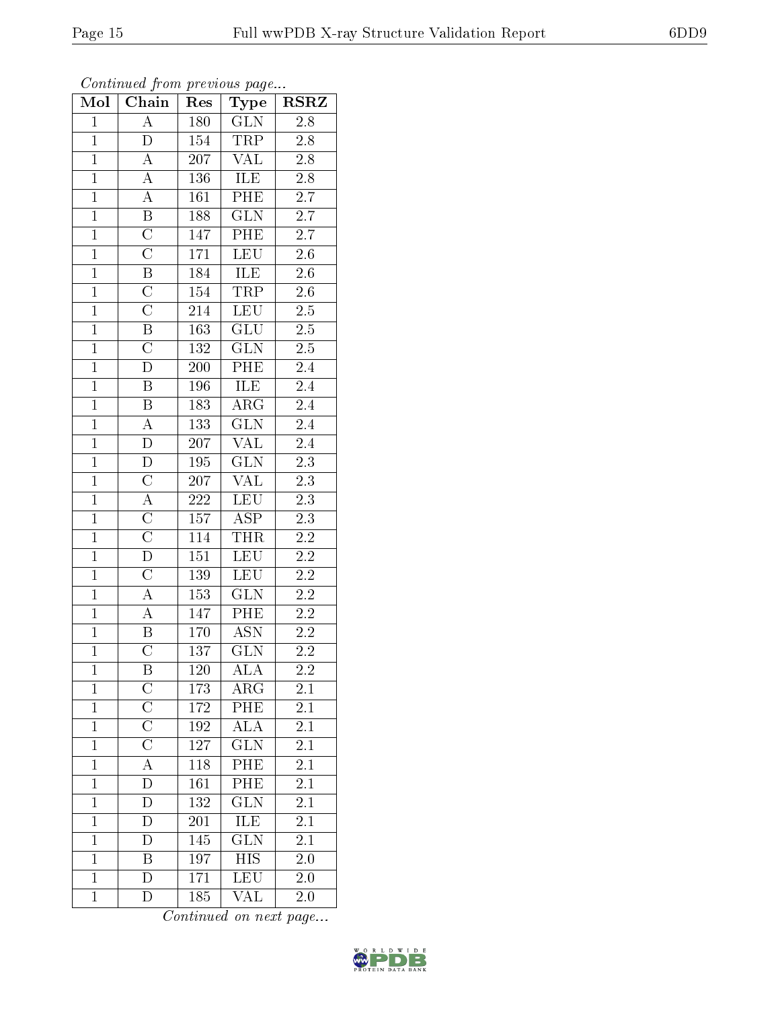| Mol            | Chain                   | Res              | Type                      | $\rm \bf{RSRZ}$  |
|----------------|-------------------------|------------------|---------------------------|------------------|
| $\mathbf{1}$   | $\overline{A}$          | 180              | $\overline{\text{GLN}}$   | 2.8              |
| $\mathbf{1}$   | D                       | 154              | TRP                       | $2.8\,$          |
| $\overline{1}$ | $\overline{A}$          | 207              | $\overline{\text{VAL}}$   | $\overline{2.8}$ |
| $\overline{1}$ | $\overline{A}$          | 136              | ILE                       | 2.8              |
| $\overline{1}$ | $\overline{A}$          | 161              | PHE                       | $\overline{2.7}$ |
| $\mathbf{1}$   | $\overline{\mathrm{B}}$ | 188              | $\overline{\text{GLN}}$   | 2.7              |
| $\overline{1}$ | $\overline{\text{C}}$   | 147              | PHE                       | 2.7              |
| $\overline{1}$ | $\overline{\rm C}$      | 171              | <b>LEU</b>                | $2.\overline{6}$ |
| $\overline{1}$ | $\overline{\mathrm{B}}$ | 184              | <b>ILE</b>                | $2.6\,$          |
| $\overline{1}$ | $\overline{\rm C}$      | 154              | <b>TRP</b>                | 2.6              |
| $\overline{1}$ | $\overline{\text{C}}$   | 214              | <b>LEU</b>                | 2.5              |
| $\overline{1}$ | $\overline{\mathrm{B}}$ | 163              | $\overline{\mathrm{GLU}}$ | $2.5\,$          |
| $\overline{1}$ | $\overline{\rm C}$      | 132              | $\overline{\text{GLN}}$   | 2.5              |
| $\overline{1}$ | $\overline{\rm D}$      | 200              | PHE                       | 2.4              |
| $\overline{1}$ | $\overline{\mathrm{B}}$ | 196              | <b>ILE</b>                | 2.4              |
| $\mathbf{1}$   | $\, {\bf B}$            | 183              | $\overline{\rm ARG}$      | $2.4\,$          |
| $\overline{1}$ | $\overline{A}$          | 133              | $\overline{\text{GLN}}$   | 2.4              |
| $\mathbf{1}$   | $\overline{\rm D}$      | $207\,$          | <b>VAL</b>                | 2.4              |
| $\overline{1}$ | $\bar{\rm D}$           | 195              | $\overline{\text{GLN}}$   | $\overline{2.3}$ |
| $\overline{1}$ | $\overline{C}$          | 207              | $\overline{\text{VAL}}$   | $\overline{2.3}$ |
| $\mathbf{1}$   | $\overline{A}$          | $222\,$          | LEU                       | $2.3\,$          |
| $\mathbf{1}$   | $\overline{\rm C}$      | 157              | <b>ASP</b>                | $\overline{2.3}$ |
| $\overline{1}$ | $\overline{\rm C}$      | 114              | <b>THR</b>                | 2.2              |
| $\overline{1}$ | $\overline{\rm D}$      | $\overline{151}$ | <b>LEU</b>                | $\overline{2.2}$ |
| $\overline{1}$ | $\overline{\rm C}$      | 139              | LEU                       | $2.2\,$          |
| $\overline{1}$ | $\overline{A}$          | 153              | <b>GLN</b>                | $2.2\,$          |
| $\overline{1}$ | $\overline{A}$          | 147              | PHE                       | $2\overline{.2}$ |
| $\overline{1}$ | B                       | 170              | <b>ASN</b>                | $\overline{2.2}$ |
| $\overline{1}$ | $\overline{\rm C}$      | 137              | $\overline{\text{GLN}}$   | $\overline{2.2}$ |
| $\mathbf 1$    | Β                       | 120              | ALA                       | 2.2              |
| $\mathbf{1}$   | $\mathcal C$            | 173              | $\rm{ARG}$                | 2.1              |
| $\mathbf{1}$   | $\overline{\rm C}$      | 172              | PHE                       | 2.1              |
| $\mathbf{1}$   | $\overline{\text{C}}$   | 192              | <b>ALA</b>                | 2.1              |
| $\mathbf{1}$   | $\overline{\rm C}$      | 127              | GLN                       | 2.1              |
| $\mathbf 1$    | A                       | 118              | PHE                       | 2.1              |
| $\mathbf 1$    | D                       | 161              | PHE                       | 2.1              |
| $\mathbf{1}$   | $\overline{D}$          | 132              | $\overline{\text{GLN}}$   | 2.1              |
| $\mathbf{1}$   | D                       | 201              | ILE                       | $2\overline{.1}$ |
| $\mathbf{1}$   | $\overline{\rm D}$      | 145              | $\overline{\text{GLN}}$   | $\overline{2.1}$ |
| $\mathbf{1}$   | Β                       | 197              | <b>HIS</b>                | 2.0              |
| $\mathbf{1}$   | $\overline{\rm D}$      | 171              | LEU                       | 2.0              |
| $\mathbf{1}$   | D                       | 185              | VAL                       | 2.0              |

Continued from previous page...